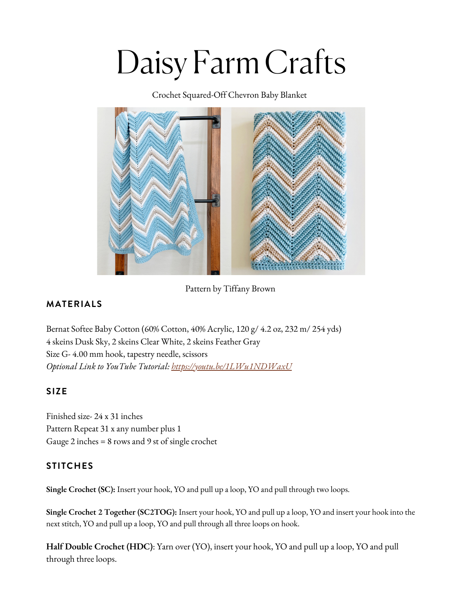# Daisy Farm Crafts

Crochet Squared-Off Chevron Baby Blanket



Pattern by Tiffany Brown

## **MATERIALS**

Bernat Softee Baby [Cotton](https://www.yarnspirations.com/bernat-softee-baby-cotton-yarn/166052.html?utm_source=Influencer_DFC&utm_medium=blog&utm_campaign=2022_05_05__bernat-softee-baby-cotton-yarn) (60% Cotton, 40% Acrylic, 120 g/ 4.2 oz, 232 m/ 254 yds) 4 skeins Dusk Sky, 2 skeins Clear White, 2 skeins Feather Gray Size G- 4.00 mm hook, tapestry needle, scissors *Optional Link to YouTube Tutorial: <https://youtu.be/1LWu1NDWaxU>*

#### **SIZE**

Finished size- 24 x 31 inches Pattern Repeat 31 x any number plus 1 Gauge 2 inches = 8 rows and 9 st of single crochet

## **STITCHES**

**Single [Crochet](https://daisyfarmcrafts.com/single-crochet/) (SC):** Insert your hook, YO and pull up a loop, YO and pull [through](https://daisyfarmcrafts.com/single-crochet/) two loops[.](https://daisyfarmcrafts.com/single-crochet/)

**Single Crochet 2 Together [\(SC2TOG\):](https://daisyfarmcrafts.com/single-crochet/)** Insert your hook, YO and pull up a loop, YO and insert your hook into the next stitch, YO and pull up a loop, YO and pull through all three loops on hook.

**Half Double [Crochet](https://daisyfarmcrafts.com/single-crochet/) (HDC)**: Yarn over (YO), insert your hook, YO and pull up a loop, YO and pull through three loops[.](https://daisyfarmcrafts.com/single-crochet/)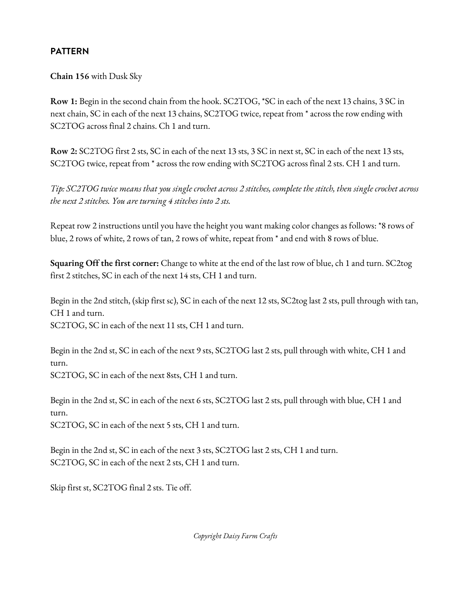### **[PATTERN](https://daisyfarmcrafts.com/single-crochet/)**

**[Chain](https://daisyfarmcrafts.com/single-crochet/) 156** with [Dusk](https://daisyfarmcrafts.com/single-crochet/) Sky

**[Row](https://daisyfarmcrafts.com/single-crochet/) 1:** Begin in the second chain from the hook. [SC2TOG,](https://daisyfarmcrafts.com/single-crochet/) \*SC in each of the next 13 chains, 3 SC in next chain, SC in each of the next 13 chains, SC2TOG twice, repeat from \* across the row ending with SC2TOG across final 2 chains. Ch 1 and turn[.](https://daisyfarmcrafts.com/single-crochet/)

**[Row](https://daisyfarmcrafts.com/single-crochet/) 2:** SC2TOG first 2 sts, SC in each of the next 13 sts, 3 SC in next st, SC in each of the next 13 sts, SC2TOG twice, repeat from \* across the row ending with [SC2TOG](https://daisyfarmcrafts.com/single-crochet/) across final 2 sts. CH 1 and turn[.](https://daisyfarmcrafts.com/single-crochet/)

Tip: [SC2TOG](https://daisyfarmcrafts.com/single-crochet/) twice means that you single crochet across 2 stitches, complete the stitch, then single crochet across *the next 2 stitches. You are turning 4 stitches into 2 sts[.](https://daisyfarmcrafts.com/single-crochet/)*

Repeat row 2 [instructions](https://daisyfarmcrafts.com/single-crochet/) until you have the height you want making color changes as follows: \*8 rows of blue, 2 rows of white, 2 rows of tan, 2 rows of white, repeat from \* and end with 8 rows of blue.

**[Squaring](https://daisyfarmcrafts.com/single-crochet/) Off the first corner:** Change to white at the end of the last row of blue, ch 1 and turn. SC2tog first 2 stitches, SC in each of the next 14 sts, CH 1 and turn.

Begin in the 2nd stitch, (skip first sc), SC in each of the next 12 sts, SC2tog last 2 sts, pull [through](https://daisyfarmcrafts.com/single-crochet/) with tan, CH 1 and turn[.](https://daisyfarmcrafts.com/single-crochet/) [SC2TOG,](https://daisyfarmcrafts.com/single-crochet/) SC in each of the next 11 sts, CH 1 and turn.

Begin in the 2nd st, SC in each of the next 9 sts, [SC2TOG](https://daisyfarmcrafts.com/single-crochet/) last 2 sts, pull through with white, CH 1 and turn.

[SC2TOG,](https://daisyfarmcrafts.com/single-crochet/) SC in each of the next 8sts, CH 1 and turn[.](https://daisyfarmcrafts.com/single-crochet/)

Begin in the 2nd st, SC in each of the next 6 sts, [SC2TOG](https://daisyfarmcrafts.com/single-crochet/) last 2 sts, pull through with blue, CH 1 and turn.

[SC2TOG,](https://daisyfarmcrafts.com/single-crochet/) SC in each of the next 5 sts, CH 1 and turn.

Begin in the 2nd st, SC in each of the next 3 sts, [SC2TOG](https://daisyfarmcrafts.com/single-crochet/) last 2 sts, CH 1 and turn. [SC2TOG,](https://daisyfarmcrafts.com/single-crochet/) SC in each of the next 2 sts, CH 1 and turn[.](https://daisyfarmcrafts.com/single-crochet/)

Skip first st, [SC2TOG](https://daisyfarmcrafts.com/single-crochet/) final 2 sts. Tie off.

*[Copyright](https://daisyfarmcrafts.com/single-crochet/) Daisy Farm Crafts*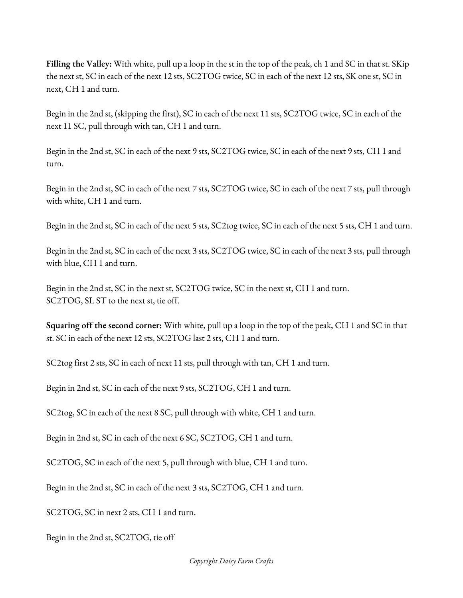**Filling the [Valley:](https://daisyfarmcrafts.com/single-crochet/)** With white, pull up a loop in the st in the top of the peak, ch 1 and SC in that st. SKip the next st, SC in each of the next 12 sts, [SC2TOG](https://daisyfarmcrafts.com/single-crochet/) twice, SC in each of the next 12 sts, SK one st, SC in next, CH 1 and turn.

Begin in the 2nd st, (skipping the first), SC in each of the next 11 sts, [SC2TOG](https://daisyfarmcrafts.com/single-crochet/) twice, SC in each of the next 11 SC, pull through with tan, CH 1 and turn.

Begin in the 2nd st, SC in each of the next 9 sts, [SC2TOG](https://daisyfarmcrafts.com/single-crochet/) twice, SC in each of the next 9 sts, CH 1 and turn[.](https://daisyfarmcrafts.com/single-crochet/)

Begin in the 2nd st, SC in each of the next 7 sts, [SC2TOG](https://daisyfarmcrafts.com/single-crochet/) twice, SC in each of the next 7 sts, pull through with white, CH 1 and turn[.](https://daisyfarmcrafts.com/single-crochet/)

Begin in the 2nd st, SC in each of the next 5 sts, [SC2tog](https://daisyfarmcrafts.com/single-crochet/) twice, SC in each of the next 5 sts, CH 1 and turn.

Begin in the 2nd st, SC in each of the next 3 sts, [SC2TOG](https://daisyfarmcrafts.com/single-crochet/) twice, SC in each of the next 3 sts, pull through with blue, CH 1 and turn[.](https://daisyfarmcrafts.com/single-crochet/)

Begin in the 2nd st, SC in the next st, [SC2TOG](https://daisyfarmcrafts.com/single-crochet/) twice, SC in the next st, CH 1 and turn[.](https://daisyfarmcrafts.com/single-crochet/) [SC2TOG,](https://daisyfarmcrafts.com/single-crochet/) SL ST to the next st, tie off[.](https://daisyfarmcrafts.com/single-crochet/)

**[Squaring](https://daisyfarmcrafts.com/single-crochet/) off the second corner:** With white, pull up a loop in the top of the peak, CH 1 and SC in that st. SC in each of the next 12 sts, [SC2TOG](https://daisyfarmcrafts.com/single-crochet/) last 2 sts, CH 1 and turn[.](https://daisyfarmcrafts.com/single-crochet/)

SC2tog first 2 sts, SC in each of next 11 sts, pull [through](https://daisyfarmcrafts.com/single-crochet/) with tan, CH 1 and turn[.](https://daisyfarmcrafts.com/single-crochet/)

Begin in 2nd st, SC in each of the next 9 sts, [SC2TOG,](https://daisyfarmcrafts.com/single-crochet/) CH 1 and turn.

SC2tog, SC in each of the next 8 SC, pull [through](https://daisyfarmcrafts.com/single-crochet/) with white, CH 1 and turn.

Begin in 2nd st, SC in each of the next 6 SC, [SC2TOG,](https://daisyfarmcrafts.com/single-crochet/) CH 1 and turn[.](https://daisyfarmcrafts.com/single-crochet/)

[SC2TOG,](https://daisyfarmcrafts.com/single-crochet/) SC in each of the next 5, pull through with blue, CH 1 and turn.

Begin in the 2nd st, SC in each of the next 3 sts, [SC2TOG,](https://daisyfarmcrafts.com/single-crochet/) CH 1 and turn.

[SC2TOG,](https://daisyfarmcrafts.com/single-crochet/) SC in next 2 sts, CH 1 and turn[.](https://daisyfarmcrafts.com/single-crochet/)

Begin in the 2nd st, [SC2TOG,](https://daisyfarmcrafts.com/single-crochet/) tie off